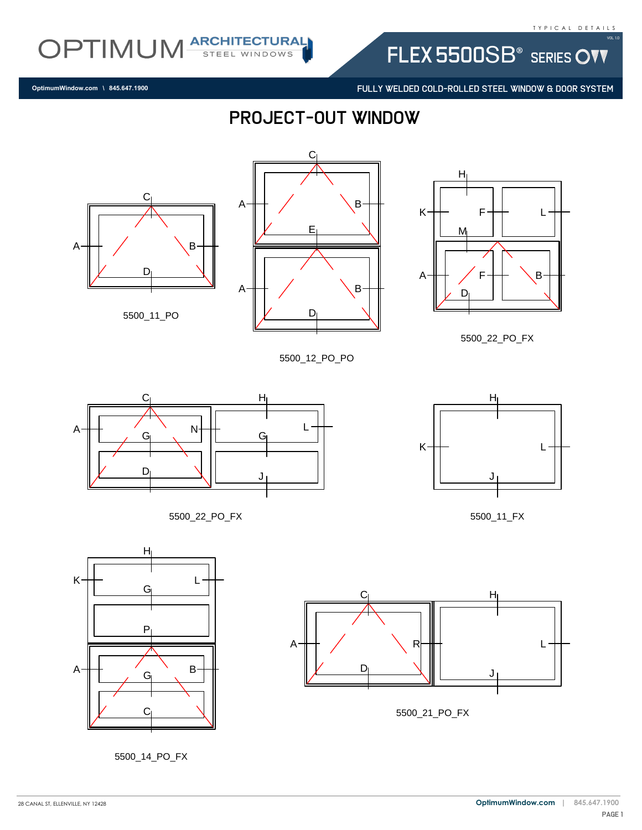FLEX 5500SB<sup>®</sup> SERIES OVV

FULLY WELDED COLD-ROLLED STEEL WINDOW & DOOR SYSTEM

**OptimumWindow.com \ 845.647.1900**

## PROJECT-OUT WINDOW

C



OPTIMUM ARCHITECTURAL





5500\_12\_PO\_PO



5500\_22\_PO\_FX







5500\_14\_PO\_FX





5500\_21\_PO\_FX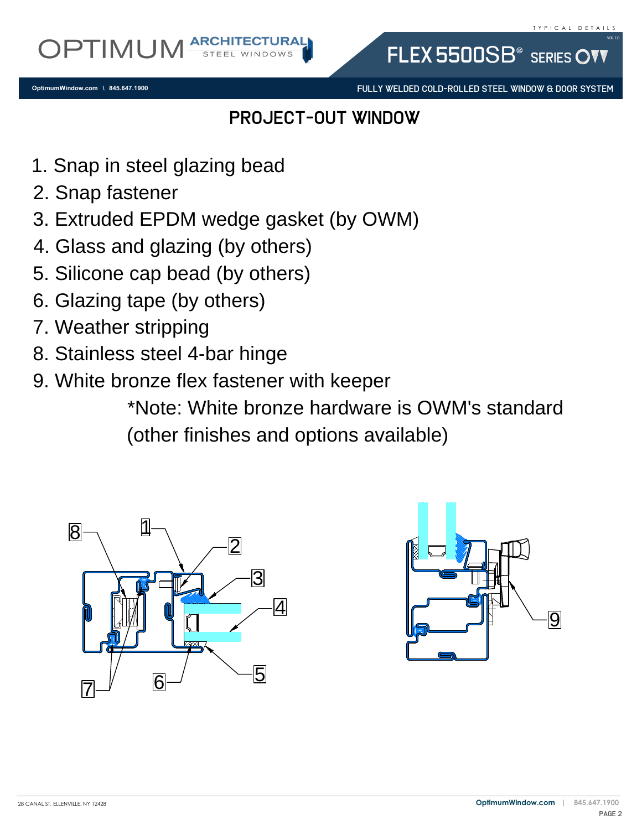**OptimumWindow.com \ 845.647.1900**

FULLY WELDED COLD-ROLLED STEEL WINDOW & DOOR SYSTEM

FLEX 5500SB<sup>®</sup> SERIES

## PROJECT-OUT WINDOW

- 
- 
- 2. Snap rastener<br>3. Extruded EPDM wedge gasket (by OWM)<br>4. Glass and glazing (by others)<br>5. Silicone cap bead (by others)<br>6. Glazing tape (by others)<br>7. Weather stripping<br>8. Stainless steel 4 ber binge
- 
- 1. Snap in steel glazing bead<br>2. Snap fastener<br>3. Extruded EPDM wedge ga<br>4. Glass and glazing (by othe<br>5. Silicone cap bead (by othe 1. Snap in steel (<br>2. Snap fastener<br>3. Extruded EPD<br>4. Glass and gla:<br>5. Silicone cap b<br>6. Glazing tape ( 4. Glass and glazing (by others)<br>5. Silicone cap bead (by others)<br>6. Glazing tape (by others)<br>7. Weather stripping 5. Silicone cap bead (by others)
- 
- 
- 5. Silicone cap bead (by others)<br>6. Glazing tape (by others)<br>7. Weather stripping<br>8. Stainless steel 4-bar hin<br>9. White bronze flex fasten<br>\*Note: White bro 6. Glazing tape (by do. Stainless steel 4-l<br>7. Weather stripping<br>8. Stainless steel 4-l<br>\*Note: Wike: Wike: Wike: Wike: Wike: Wike: Wike: Wike: Wike: Wike: Wike: Wike: Wike: Wike: Wike: Wike: Wike: W<br>Mike: Mike: Mike: Mike:
- 9. White bronze flex fastener with keeper

7. weather stripping<br>8. Stainless steel 4-bar hinge<br>9. White bronze flex fastener<br>\*Note: White bron:<br>(other finishes and \*Note: White bronze hardware is OWM's standard (other finishes and options available)



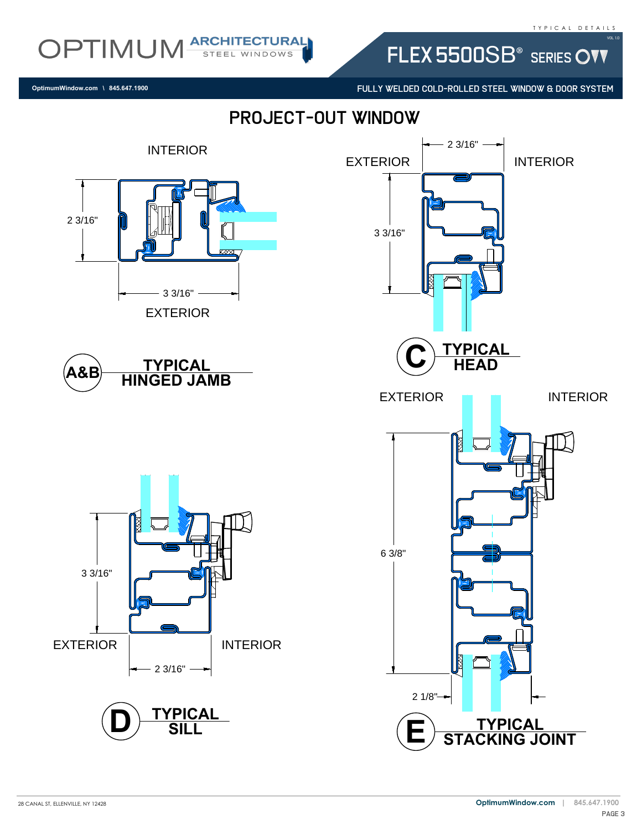FLEX 5500SB<sup>®</sup> SERIES OVV

FULLY WELDED COLD-ROLLED STEEL WINDOW & DOOR SYSTEM

**OptimumWindow.com \ 845.647.1900**

OPTIMUM ARCHITECTURAL

PROJECT-OUT WINDOW

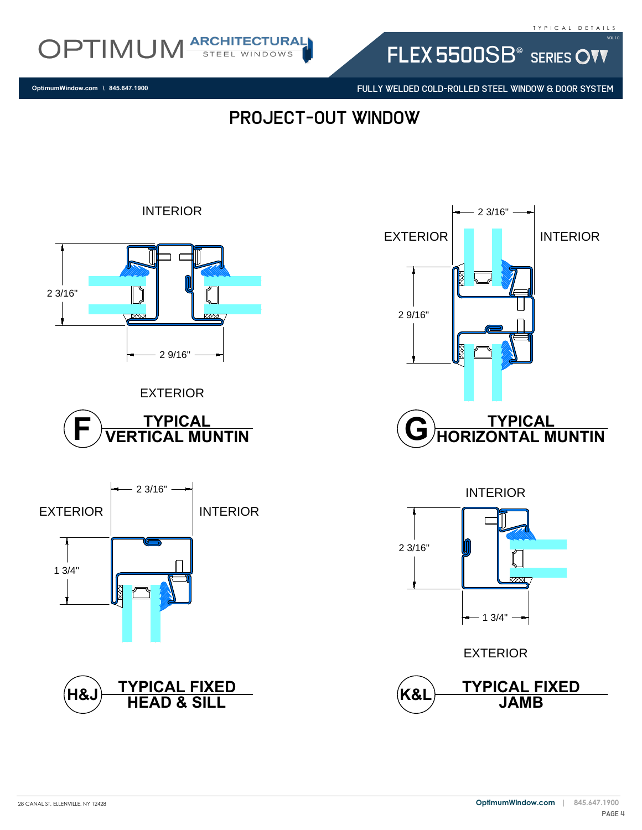

FLEX 5500SB<sup>®</sup> SERIES OVV

FULLY WELDED COLD-ROLLED STEEL WINDOW & DOOR SYSTEM

**OptimumWindow.com \ 845.647.1900**

PROJECT-OUT WINDOW





EXTERIOR



INTERIOR









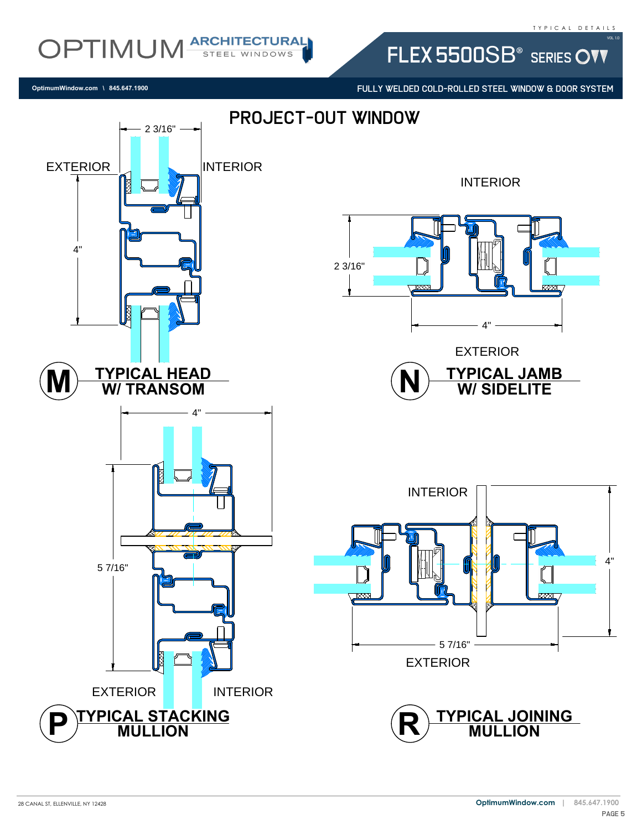## T Y P I C A L D E T A I L S

Vol 1.0

OPTIMUM ARCHITECTURAL FLEX 5500SB<sup>®</sup> SERIES OVV

FULLY WELDED COLD-ROLLED STEEL WINDOW & DOOR SYSTEM